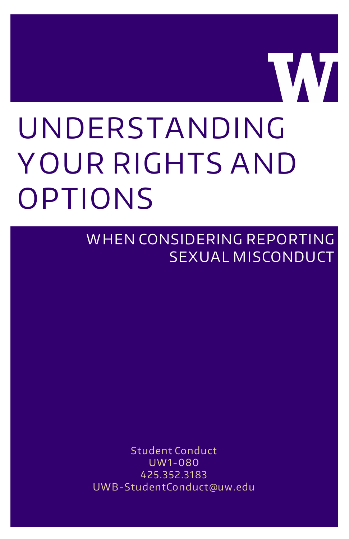# UNDERSTANDING Y OUR RIGHTS AND OPTIONS

W HEN CONSIDERING REPORTING SEXUAL MISCONDUCT

**VVI** 

Student Conduct UW1-080 425.352.3183 UWB-StudentConduct@uw.edu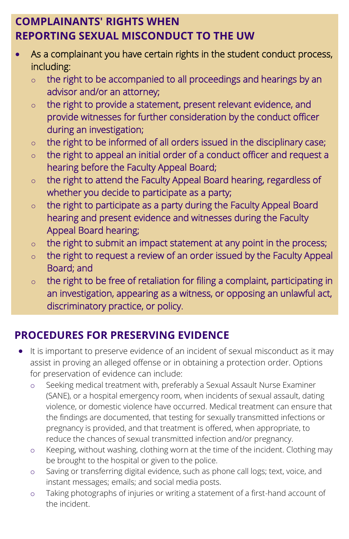### **COMPLAINANTS' RIGHTS WHEN REPORTING SEXUAL MISCONDUCT TO THE UW**

- As a complainant you have certain rights in the student conduct process, including:
	- $\circ$  the right to be accompanied to all proceedings and hearings by an advisor and/or an attorney;
	- o the right to provide a statement, present relevant evidence, and provide witnesses for further consideration by the conduct officer during an investigation;
	- $\circ$  the right to be informed of all orders issued in the disciplinary case;
	- $\circ$  the right to appeal an initial order of a conduct officer and request a hearing before the Faculty Appeal Board;
	- $\circ$  the right to attend the Faculty Appeal Board hearing, regardless of whether you decide to participate as a party;
	- $\circ$  the right to participate as a party during the Faculty Appeal Board hearing and present evidence and witnesses during the Faculty Appeal Board hearing;
	- $\circ$  the right to submit an impact statement at any point in the process;
	- o the right to request a review of an order issued by the Faculty Appeal Board; and
	- $\circ$  the right to be free of retaliation for filing a complaint, participating in an investigation, appearing as a witness, or opposing an unlawful act, discriminatory practice, or policy.

## **PROCEDURES FOR PRESERVING EVIDENCE**

- It is important to preserve evidence of an incident of sexual misconduct as it may assist in proving an alleged offense or in obtaining a protection order. Options for preservation of evidence can include:
	- o Seeking medical treatment with, preferably a Sexual Assault Nurse Examiner (SANE), or a hospital emergency room, when incidents of sexual assault, dating violence, or domestic violence have occurred. Medical treatment can ensure that the findings are documented, that testing for sexually transmitted infections or pregnancy is provided, and that treatment is offered, when appropriate, to reduce the chances of sexual transmitted infection and/or pregnancy.
	- o Keeping, without washing, clothing worn at the time of the incident. Clothing may be brought to the hospital or given to the police.
	- o Saving or transferring digital evidence, such as phone call logs; text, voice, and instant messages; emails; and social media posts.
	- o Taking photographs of injuries or writing a statement of a first-hand account of the incident.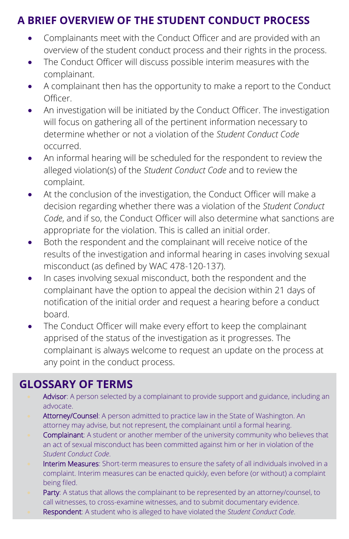### **A BRIEF OVERVIEW OF THE STUDENT CONDUCT PROCESS**

- Complainants meet with the Conduct Officer and are provided with an overview of the student conduct process and their rights in the process.
- The Conduct Officer will discuss possible interim measures with the complainant.
- A complainant then has the opportunity to make a report to the Conduct Officer.
- An investigation will be initiated by the Conduct Officer. The investigation will focus on gathering all of the pertinent information necessary to determine whether or not a violation of the *Student Conduct Code* occurred.
- An informal hearing will be scheduled for the respondent to review the alleged violation(s) of the *Student Conduct Code* and to review the complaint.
- At the conclusion of the investigation, the Conduct Officer will make a decision regarding whether there was a violation of the *Student Conduct Code*, and if so, the Conduct Officer will also determine what sanctions are appropriate for the violation. This is called an initial order.
- Both the respondent and the complainant will receive notice of the results of the investigation and informal hearing in cases involving sexual misconduct (as defined by WAC 478-120-137).
- In cases involving sexual misconduct, both the respondent and the complainant have the option to appeal the decision within 21 days of notification of the initial order and request a hearing before a conduct board.
- The Conduct Officer will make every effort to keep the complainant apprised of the status of the investigation as it progresses. The complainant is always welcome to request an update on the process at any point in the conduct process.

### **GLOSSARY OF TERMS**

- Advisor: A person selected by a complainant to provide support and guidance, including an advocate.
- Attorney/Counsel: A person admitted to practice law in the State of Washington. An attorney may advise, but not represent, the complainant until a formal hearing.
- Complainant: A student or another member of the university community who believes that an act of sexual misconduct has been committed against him or her in violation of the *Student Conduct Code*.
- Interim Measures: Short-term measures to ensure the safety of all individuals involved in a complaint. Interim measures can be enacted quickly, even before (or without) a complaint being filed.
- Party: A status that allows the complainant to be represented by an attorney/counsel, to call witnesses, to cross-examine witnesses, and to submit documentary evidence.
- Respondent: A student who is alleged to have violated the *Student Conduct Code*.